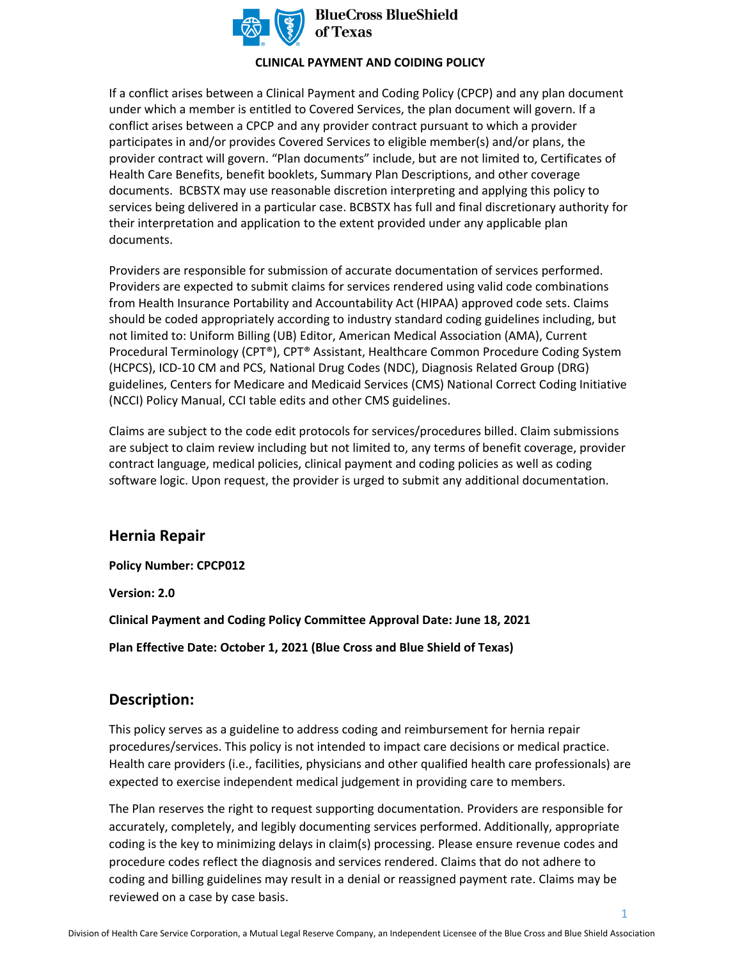

## **CLINICAL PAYMENT AND COIDING POLICY**

If a conflict arises between a Clinical Payment and Coding Policy (CPCP) and any plan document under which a member is entitled to Covered Services, the plan document will govern. If a conflict arises between a CPCP and any provider contract pursuant to which a provider participates in and/or provides Covered Services to eligible member(s) and/or plans, the provider contract will govern. "Plan documents" include, but are not limited to, Certificates of Health Care Benefits, benefit booklets, Summary Plan Descriptions, and other coverage documents. BCBSTX may use reasonable discretion interpreting and applying this policy to services being delivered in a particular case. BCBSTX has full and final discretionary authority for their interpretation and application to the extent provided under any applicable plan documents.

Providers are responsible for submission of accurate documentation of services performed. Providers are expected to submit claims for services rendered using valid code combinations from Health Insurance Portability and Accountability Act (HIPAA) approved code sets. Claims should be coded appropriately according to industry standard coding guidelines including, but not limited to: Uniform Billing (UB) Editor, American Medical Association (AMA), Current Procedural Terminology (CPT®), CPT® Assistant, Healthcare Common Procedure Coding System (HCPCS), ICD-10 CM and PCS, National Drug Codes (NDC), Diagnosis Related Group (DRG) guidelines, Centers for Medicare and Medicaid Services (CMS) National Correct Coding Initiative (NCCI) Policy Manual, CCI table edits and other CMS guidelines.

Claims are subject to the code edit protocols for services/procedures billed. Claim submissions are subject to claim review including but not limited to, any terms of benefit coverage, provider contract language, medical policies, clinical payment and coding policies as well as coding software logic. Upon request, the provider is urged to submit any additional documentation.

# **Hernia Repair**

**Policy Number: CPCP012** 

**Version: 2.0** 

**Clinical Payment and Coding Policy Committee Approval Date: June 18, 2021** 

**Plan Effective Date: October 1, 2021 (Blue Cross and Blue Shield of Texas)** 

# **Description:**

This policy serves as a guideline to address coding and reimbursement for hernia repair procedures/services. This policy is not intended to impact care decisions or medical practice. Health care providers (i.e., facilities, physicians and other qualified health care professionals) are expected to exercise independent medical judgement in providing care to members.

The Plan reserves the right to request supporting documentation. Providers are responsible for accurately, completely, and legibly documenting services performed. Additionally, appropriate coding is the key to minimizing delays in claim(s) processing. Please ensure revenue codes and procedure codes reflect the diagnosis and services rendered. Claims that do not adhere to coding and billing guidelines may result in a denial or reassigned payment rate. Claims may be reviewed on a case by case basis.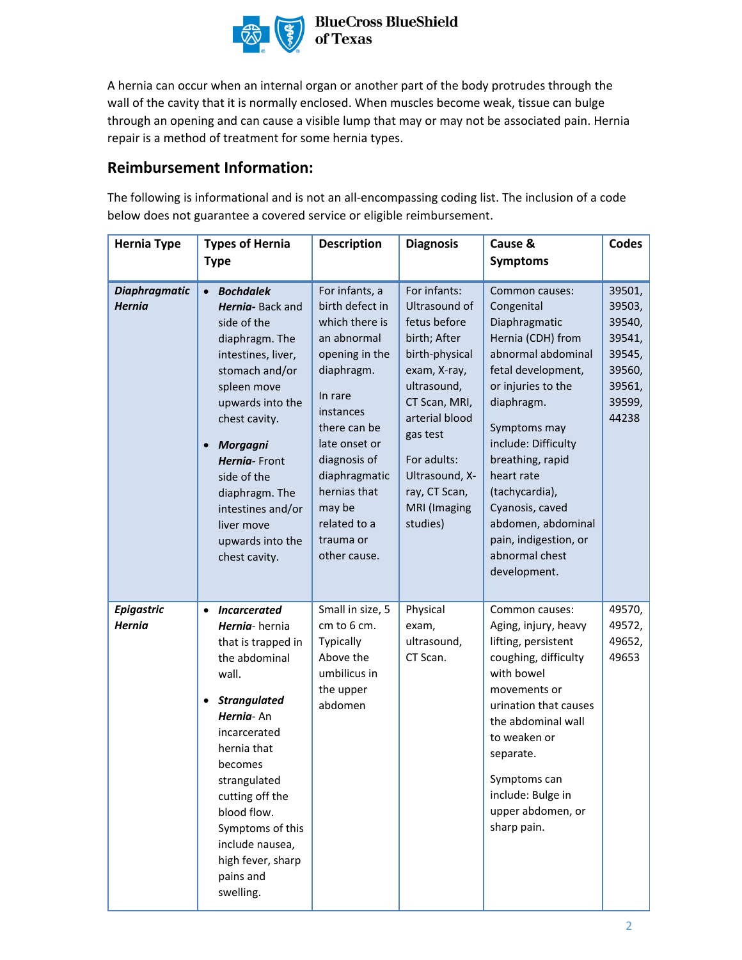

A hernia can occur when an internal organ or another part of the body protrudes through the wall of the cavity that it is normally enclosed. When muscles become weak, tissue can bulge through an opening and can cause a visible lump that may or may not be associated pain. Hernia repair is a method of treatment for some hernia types.

# **Reimbursement Information:**

The following is informational and is not an all-encompassing coding list. The inclusion of a code below does not guarantee a covered service or eligible reimbursement.

| <b>Hernia Type</b>                    | <b>Types of Hernia</b>                                                                                                                                                                                                                                                                                                               | <b>Description</b>                                                                                                                                                                                                                                                  | <b>Diagnosis</b>                                                                                                                                                                                                                            | Cause &                                                                                                                                                                                                                                                                                                                                           | <b>Codes</b>                                                                          |
|---------------------------------------|--------------------------------------------------------------------------------------------------------------------------------------------------------------------------------------------------------------------------------------------------------------------------------------------------------------------------------------|---------------------------------------------------------------------------------------------------------------------------------------------------------------------------------------------------------------------------------------------------------------------|---------------------------------------------------------------------------------------------------------------------------------------------------------------------------------------------------------------------------------------------|---------------------------------------------------------------------------------------------------------------------------------------------------------------------------------------------------------------------------------------------------------------------------------------------------------------------------------------------------|---------------------------------------------------------------------------------------|
|                                       | <b>Type</b>                                                                                                                                                                                                                                                                                                                          |                                                                                                                                                                                                                                                                     |                                                                                                                                                                                                                                             | <b>Symptoms</b>                                                                                                                                                                                                                                                                                                                                   |                                                                                       |
| <b>Diaphragmatic</b><br><b>Hernia</b> | <b>Bochdalek</b><br>Hernia-Back and<br>side of the<br>diaphragm. The<br>intestines, liver,<br>stomach and/or<br>spleen move<br>upwards into the<br>chest cavity.<br><b>Morgagni</b><br>Hernia-Front<br>side of the<br>diaphragm. The<br>intestines and/or<br>liver move<br>upwards into the<br>chest cavity.                         | For infants, a<br>birth defect in<br>which there is<br>an abnormal<br>opening in the<br>diaphragm.<br>In rare<br>instances<br>there can be<br>late onset or<br>diagnosis of<br>diaphragmatic<br>hernias that<br>may be<br>related to a<br>trauma or<br>other cause. | For infants:<br>Ultrasound of<br>fetus before<br>birth; After<br>birth-physical<br>exam, X-ray,<br>ultrasound,<br>CT Scan, MRI,<br>arterial blood<br>gas test<br>For adults:<br>Ultrasound, X-<br>ray, CT Scan,<br>MRI (Imaging<br>studies) | Common causes:<br>Congenital<br>Diaphragmatic<br>Hernia (CDH) from<br>abnormal abdominal<br>fetal development,<br>or injuries to the<br>diaphragm.<br>Symptoms may<br>include: Difficulty<br>breathing, rapid<br>heart rate<br>(tachycardia),<br>Cyanosis, caved<br>abdomen, abdominal<br>pain, indigestion, or<br>abnormal chest<br>development. | 39501,<br>39503,<br>39540,<br>39541,<br>39545,<br>39560,<br>39561,<br>39599,<br>44238 |
| <b>Epigastric</b><br><b>Hernia</b>    | <b>Incarcerated</b><br>$\bullet$<br>Hernia-hernia<br>that is trapped in<br>the abdominal<br>wall.<br><b>Strangulated</b><br>$\bullet$<br>Hernia-An<br>incarcerated<br>hernia that<br>becomes<br>strangulated<br>cutting off the<br>blood flow.<br>Symptoms of this<br>include nausea,<br>high fever, sharp<br>pains and<br>swelling. | Small in size, 5<br>cm to 6 cm.<br>Typically<br>Above the<br>umbilicus in<br>the upper<br>abdomen                                                                                                                                                                   | Physical<br>exam,<br>ultrasound,<br>CT Scan.                                                                                                                                                                                                | Common causes:<br>Aging, injury, heavy<br>lifting, persistent<br>coughing, difficulty<br>with bowel<br>movements or<br>urination that causes<br>the abdominal wall<br>to weaken or<br>separate.<br>Symptoms can<br>include: Bulge in<br>upper abdomen, or<br>sharp pain.                                                                          | 49570,<br>49572,<br>49652,<br>49653                                                   |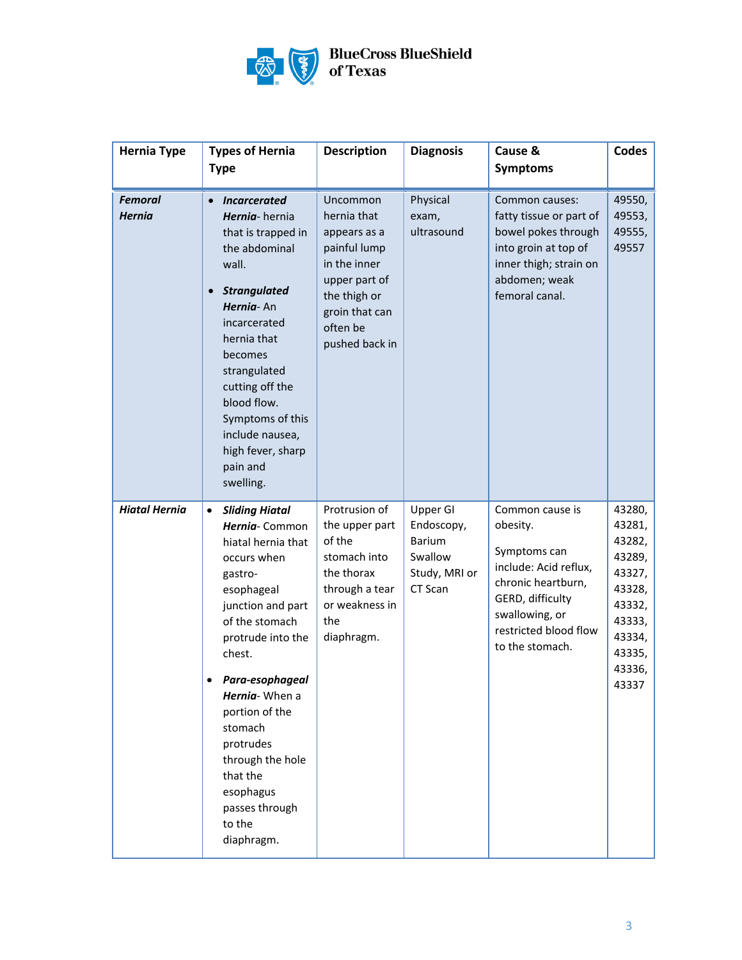

| <b>Hernia Type</b>              | <b>Types of Hernia</b>                                                                                                                                                                                                                                                                                                                                       | <b>Description</b>                                                                                                                                       | <b>Diagnosis</b>                                                               | Cause &                                                                                                                                                                      | <b>Codes</b>                                                                                                        |
|---------------------------------|--------------------------------------------------------------------------------------------------------------------------------------------------------------------------------------------------------------------------------------------------------------------------------------------------------------------------------------------------------------|----------------------------------------------------------------------------------------------------------------------------------------------------------|--------------------------------------------------------------------------------|------------------------------------------------------------------------------------------------------------------------------------------------------------------------------|---------------------------------------------------------------------------------------------------------------------|
|                                 | <b>Type</b>                                                                                                                                                                                                                                                                                                                                                  |                                                                                                                                                          |                                                                                | <b>Symptoms</b>                                                                                                                                                              |                                                                                                                     |
| <b>Femoral</b><br><b>Hernia</b> | <b>Incarcerated</b><br>$\bullet$<br>Hernia-hernia<br>that is trapped in<br>the abdominal<br>wall.<br><b>Strangulated</b><br>$\bullet$<br>Hernia-An<br>incarcerated<br>hernia that<br>becomes<br>strangulated<br>cutting off the<br>blood flow.<br>Symptoms of this<br>include nausea,<br>high fever, sharp<br>pain and<br>swelling.                          | Uncommon<br>hernia that<br>appears as a<br>painful lump<br>in the inner<br>upper part of<br>the thigh or<br>groin that can<br>often be<br>pushed back in | Physical<br>exam,<br>ultrasound                                                | Common causes:<br>fatty tissue or part of<br>bowel pokes through<br>into groin at top of<br>inner thigh; strain on<br>abdomen; weak<br>femoral canal.                        | 49550,<br>49553,<br>49555,<br>49557                                                                                 |
| <b>Hiatal Hernia</b>            | <b>Sliding Hiatal</b><br>$\bullet$<br>Hernia-Common<br>hiatal hernia that<br>occurs when<br>gastro-<br>esophageal<br>junction and part<br>of the stomach<br>protrude into the<br>chest.<br>Para-esophageal<br>Hernia-When a<br>portion of the<br>stomach<br>protrudes<br>through the hole<br>that the<br>esophagus<br>passes through<br>to the<br>diaphragm. | Protrusion of<br>the upper part<br>of the<br>stomach into<br>the thorax<br>through a tear<br>or weakness in<br>the<br>diaphragm.                         | Upper GI<br>Endoscopy,<br><b>Barium</b><br>Swallow<br>Study, MRI or<br>CT Scan | Common cause is<br>obesity.<br>Symptoms can<br>include: Acid reflux,<br>chronic heartburn,<br>GERD, difficulty<br>swallowing, or<br>restricted blood flow<br>to the stomach. | 43280,<br>43281,<br>43282,<br>43289,<br>43327,<br>43328,<br>43332,<br>43333,<br>43334,<br>43335,<br>43336,<br>43337 |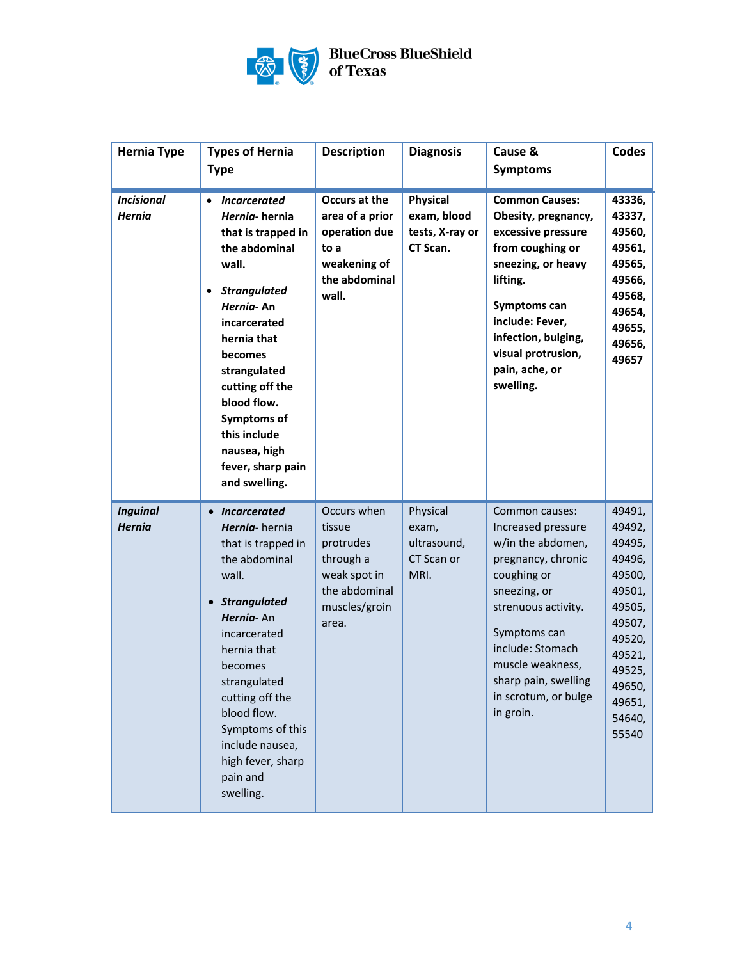

| <b>Hernia Type</b>                 | <b>Types of Hernia</b>                                                                                                                                                                                                                                                                                                       | <b>Description</b>                                                                                         | <b>Diagnosis</b>                                              | Cause &                                                                                                                                                                                                                                                    | Codes                                                                                                                                             |
|------------------------------------|------------------------------------------------------------------------------------------------------------------------------------------------------------------------------------------------------------------------------------------------------------------------------------------------------------------------------|------------------------------------------------------------------------------------------------------------|---------------------------------------------------------------|------------------------------------------------------------------------------------------------------------------------------------------------------------------------------------------------------------------------------------------------------------|---------------------------------------------------------------------------------------------------------------------------------------------------|
|                                    | <b>Type</b>                                                                                                                                                                                                                                                                                                                  |                                                                                                            |                                                               | <b>Symptoms</b>                                                                                                                                                                                                                                            |                                                                                                                                                   |
| <b>Incisional</b><br><b>Hernia</b> | Incarcerated<br>$\bullet$<br>Hernia-hernia<br>that is trapped in<br>the abdominal<br>wall.<br><b>Strangulated</b><br>$\bullet$<br>Hernia-An<br>incarcerated<br>hernia that<br>becomes<br>strangulated<br>cutting off the<br>blood flow.<br>Symptoms of<br>this include<br>nausea, high<br>fever, sharp pain<br>and swelling. | Occurs at the<br>area of a prior<br>operation due<br>to a<br>weakening of<br>the abdominal<br>wall.        | <b>Physical</b><br>exam, blood<br>tests, X-ray or<br>CT Scan. | <b>Common Causes:</b><br>Obesity, pregnancy,<br>excessive pressure<br>from coughing or<br>sneezing, or heavy<br>lifting.<br>Symptoms can<br>include: Fever,<br>infection, bulging,<br>visual protrusion,<br>pain, ache, or<br>swelling.                    | 43336,<br>43337,<br>49560,<br>49561,<br>49565,<br>49566,<br>49568,<br>49654,<br>49655,<br>49656,<br>49657                                         |
| <b>Inguinal</b><br><b>Hernia</b>   | • Incarcerated<br>Hernia-hernia<br>that is trapped in<br>the abdominal<br>wall.<br><b>Strangulated</b><br>$\bullet$<br>Hernia-An<br>incarcerated<br>hernia that<br>becomes<br>strangulated<br>cutting off the<br>blood flow.<br>Symptoms of this<br>include nausea,<br>high fever, sharp<br>pain and<br>swelling.            | Occurs when<br>tissue<br>protrudes<br>through a<br>weak spot in<br>the abdominal<br>muscles/groin<br>area. | Physical<br>exam,<br>ultrasound,<br>CT Scan or<br>MRI.        | Common causes:<br>Increased pressure<br>w/in the abdomen,<br>pregnancy, chronic<br>coughing or<br>sneezing, or<br>strenuous activity.<br>Symptoms can<br>include: Stomach<br>muscle weakness,<br>sharp pain, swelling<br>in scrotum, or bulge<br>in groin. | 49491,<br>49492,<br>49495,<br>49496,<br>49500,<br>49501,<br>49505,<br>49507,<br>49520,<br>49521,<br>49525,<br>49650,<br>49651,<br>54640,<br>55540 |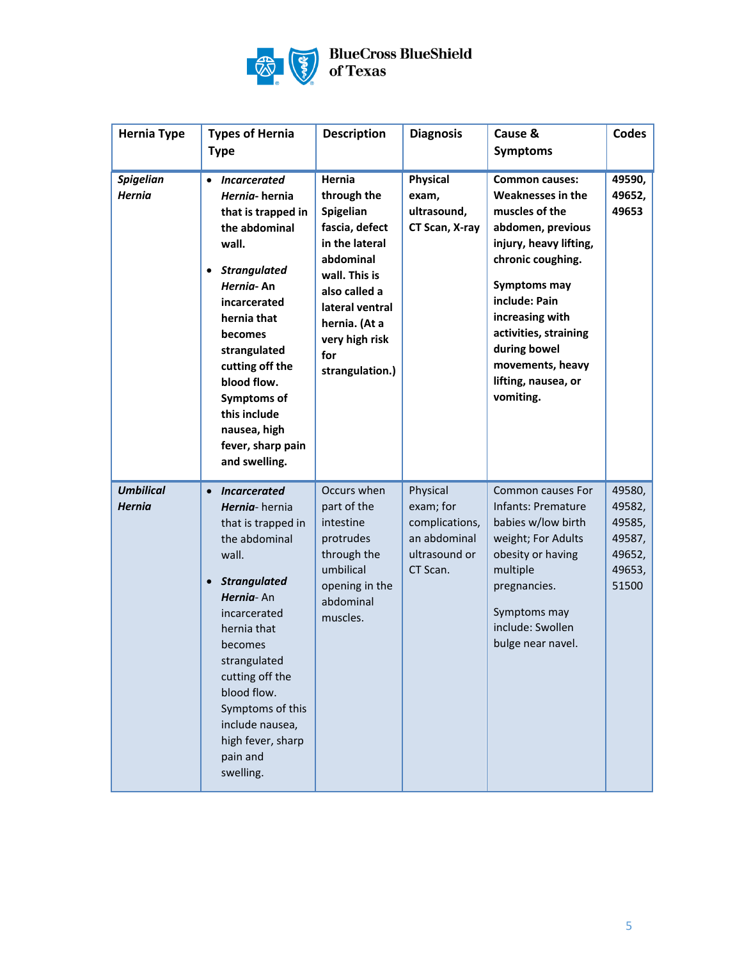

| <b>Hernia Type</b>                | <b>Types of Hernia</b><br><b>Type</b>                                                                                                                                                                                                                                                                                                      | <b>Description</b>                                                                                                                                                                                    | <b>Diagnosis</b>                                                                     | Cause &<br><b>Symptoms</b>                                                                                                                                                                                                                                                                          | Codes                                                             |
|-----------------------------------|--------------------------------------------------------------------------------------------------------------------------------------------------------------------------------------------------------------------------------------------------------------------------------------------------------------------------------------------|-------------------------------------------------------------------------------------------------------------------------------------------------------------------------------------------------------|--------------------------------------------------------------------------------------|-----------------------------------------------------------------------------------------------------------------------------------------------------------------------------------------------------------------------------------------------------------------------------------------------------|-------------------------------------------------------------------|
| <b>Spigelian</b><br><b>Hernia</b> | <b>Incarcerated</b><br>$\bullet$<br>Hernia-hernia<br>that is trapped in<br>the abdominal<br>wall.<br><b>Strangulated</b><br>$\bullet$<br>Hernia-An<br>incarcerated<br>hernia that<br>becomes<br>strangulated<br>cutting off the<br>blood flow.<br>Symptoms of<br>this include<br>nausea, high<br>fever, sharp pain<br>and swelling.        | Hernia<br>through the<br>Spigelian<br>fascia, defect<br>in the lateral<br>abdominal<br>wall. This is<br>also called a<br>lateral ventral<br>hernia. (At a<br>very high risk<br>for<br>strangulation.) | <b>Physical</b><br>exam,<br>ultrasound,<br>CT Scan, X-ray                            | <b>Common causes:</b><br><b>Weaknesses in the</b><br>muscles of the<br>abdomen, previous<br>injury, heavy lifting,<br>chronic coughing.<br><b>Symptoms may</b><br>include: Pain<br>increasing with<br>activities, straining<br>during bowel<br>movements, heavy<br>lifting, nausea, or<br>vomiting. | 49590,<br>49652,<br>49653                                         |
| <b>Umbilical</b><br><b>Hernia</b> | $\bullet$<br><i><b>Incarcerated</b></i><br>Hernia-hernia<br>that is trapped in<br>the abdominal<br>wall.<br><b>Strangulated</b><br>$\bullet$<br>Hernia-An<br>incarcerated<br>hernia that<br>becomes<br>strangulated<br>cutting off the<br>blood flow.<br>Symptoms of this<br>include nausea,<br>high fever, sharp<br>pain and<br>swelling. | Occurs when<br>part of the<br>intestine<br>protrudes<br>through the<br>umbilical<br>opening in the<br>abdominal<br>muscles.                                                                           | Physical<br>exam; for<br>complications,<br>an abdominal<br>ultrasound or<br>CT Scan. | Common causes For<br><b>Infants: Premature</b><br>babies w/low birth<br>weight; For Adults<br>obesity or having<br>multiple<br>pregnancies.<br>Symptoms may<br>include: Swollen<br>bulge near navel.                                                                                                | 49580,<br>49582,<br>49585,<br>49587,<br>49652,<br>49653,<br>51500 |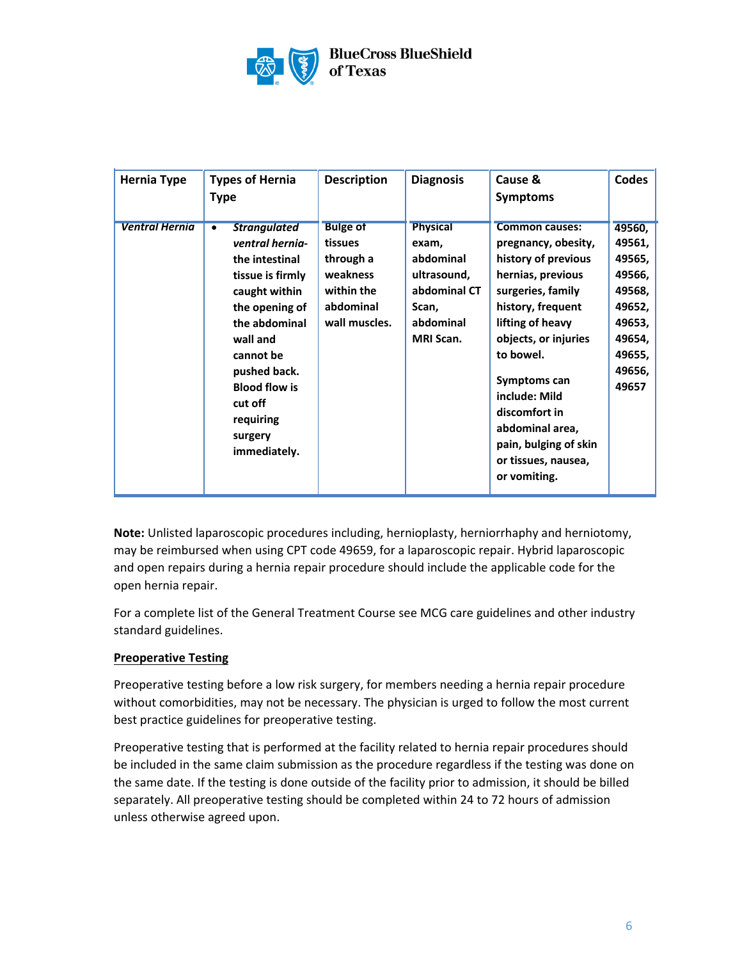

| <b>Hernia Type</b>    | <b>Types of Hernia</b><br><b>Type</b>                                                                                                                                                                                                                | <b>Description</b>                                                                              | <b>Diagnosis</b>                                                                                               | Cause &<br><b>Symptoms</b>                                                                                                                                                                                                                                                                                                       | <b>Codes</b>                                                                                              |
|-----------------------|------------------------------------------------------------------------------------------------------------------------------------------------------------------------------------------------------------------------------------------------------|-------------------------------------------------------------------------------------------------|----------------------------------------------------------------------------------------------------------------|----------------------------------------------------------------------------------------------------------------------------------------------------------------------------------------------------------------------------------------------------------------------------------------------------------------------------------|-----------------------------------------------------------------------------------------------------------|
| <b>Ventral Hernia</b> | <b>Strangulated</b><br>ventral hernia-<br>the intestinal<br>tissue is firmly<br>caught within<br>the opening of<br>the abdominal<br>wall and<br>cannot be<br>pushed back.<br><b>Blood flow is</b><br>cut off<br>requiring<br>surgery<br>immediately. | <b>Bulge of</b><br>tissues<br>through a<br>weakness<br>within the<br>abdominal<br>wall muscles. | <b>Physical</b><br>exam,<br>abdominal<br>ultrasound,<br>abdominal CT<br>Scan,<br>abdominal<br><b>MRI Scan.</b> | <b>Common causes:</b><br>pregnancy, obesity,<br>history of previous<br>hernias, previous<br>surgeries, family<br>history, frequent<br>lifting of heavy<br>objects, or injuries<br>to bowel.<br>Symptoms can<br>include: Mild<br>discomfort in<br>abdominal area,<br>pain, bulging of skin<br>or tissues, nausea,<br>or vomiting. | 49560,<br>49561,<br>49565,<br>49566,<br>49568,<br>49652,<br>49653,<br>49654,<br>49655,<br>49656,<br>49657 |

**Note:** Unlisted laparoscopic procedures including, hernioplasty, herniorrhaphy and herniotomy, may be reimbursed when using CPT code 49659, for a laparoscopic repair. Hybrid laparoscopic and open repairs during a hernia repair procedure should include the applicable code for the open hernia repair.

For a complete list of the General Treatment Course see MCG care guidelines and other industry standard guidelines.

## **Preoperative Testing**

Preoperative testing before a low risk surgery, for members needing a hernia repair procedure without comorbidities, may not be necessary. The physician is urged to follow the most current best practice guidelines for preoperative testing.

Preoperative testing that is performed at the facility related to hernia repair procedures should be included in the same claim submission as the procedure regardless if the testing was done on the same date. If the testing is done outside of the facility prior to admission, it should be billed separately. All preoperative testing should be completed within 24 to 72 hours of admission unless otherwise agreed upon.